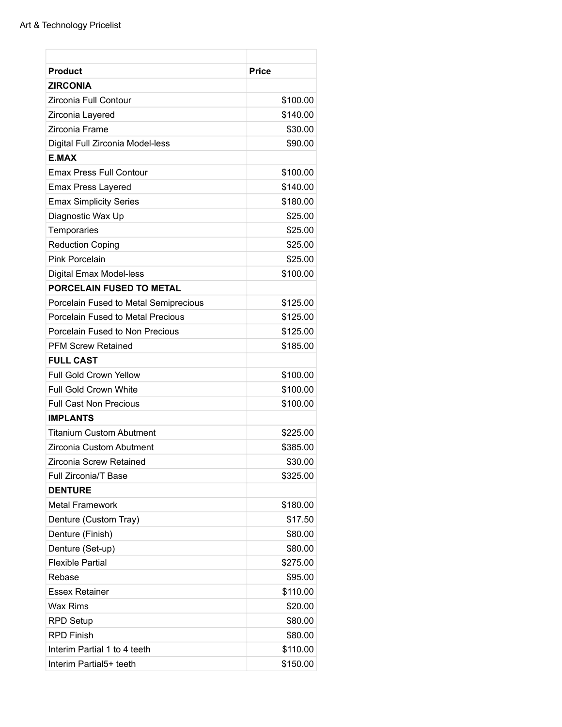| <b>Product</b>                        | <b>Price</b> |
|---------------------------------------|--------------|
| <b>ZIRCONIA</b>                       |              |
| Zirconia Full Contour                 | \$100.00     |
| Zirconia Layered                      | \$140.00     |
| Zirconia Frame                        | \$30.00      |
| Digital Full Zirconia Model-less      | \$90.00      |
| <b>E.MAX</b>                          |              |
| <b>Emax Press Full Contour</b>        | \$100.00     |
| <b>Emax Press Layered</b>             | \$140.00     |
| <b>Emax Simplicity Series</b>         | \$180.00     |
| Diagnostic Wax Up                     | \$25.00      |
| Temporaries                           | \$25.00      |
| <b>Reduction Coping</b>               | \$25.00      |
| <b>Pink Porcelain</b>                 | \$25.00      |
| Digital Emax Model-less               | \$100.00     |
| <b>PORCELAIN FUSED TO METAL</b>       |              |
| Porcelain Fused to Metal Semiprecious | \$125.00     |
| Porcelain Fused to Metal Precious     | \$125.00     |
| Porcelain Fused to Non Precious       | \$125.00     |
| <b>PFM Screw Retained</b>             | \$185.00     |
| <b>FULL CAST</b>                      |              |
| <b>Full Gold Crown Yellow</b>         | \$100.00     |
| <b>Full Gold Crown White</b>          | \$100.00     |
| <b>Full Cast Non Precious</b>         | \$100.00     |
| <b>IMPLANTS</b>                       |              |
| <b>Titanium Custom Abutment</b>       | \$225.00     |
| Zirconia Custom Abutment              | \$385.00     |
| Zirconia Screw Retained               | \$30.00      |
| <b>Full Zirconia/T Base</b>           | \$325.00     |
| <b>DENTURE</b>                        |              |
| <b>Metal Framework</b>                | \$180.00     |
| Denture (Custom Tray)                 | \$17.50      |
| Denture (Finish)                      | \$80.00      |
| Denture (Set-up)                      | \$80.00      |
| <b>Flexible Partial</b>               | \$275.00     |
| Rebase                                | \$95.00      |
| <b>Essex Retainer</b>                 | \$110.00     |
| Wax Rims                              | \$20.00      |
| <b>RPD Setup</b>                      | \$80.00      |
| <b>RPD Finish</b>                     | \$80.00      |
| Interim Partial 1 to 4 teeth          | \$110.00     |
| Interim Partial5+ teeth               | \$150.00     |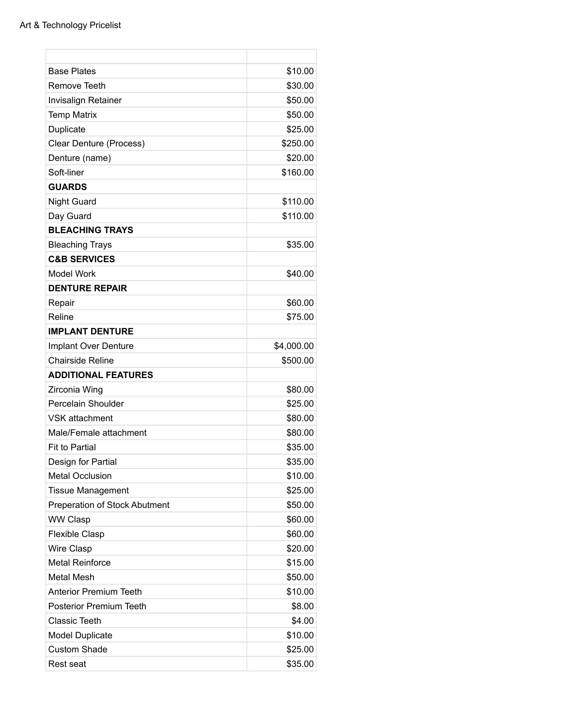| <b>Base Plates</b>                   | \$10.00    |
|--------------------------------------|------------|
| <b>Remove Teeth</b>                  | \$30.00    |
| <b>Invisalign Retainer</b>           | \$50.00    |
| <b>Temp Matrix</b>                   | \$50.00    |
| Duplicate                            | \$25.00    |
| Clear Denture (Process)              | \$250.00   |
| Denture (name)                       | \$20.00    |
| Soft-liner                           | \$160.00   |
| <b>GUARDS</b>                        |            |
| <b>Night Guard</b>                   | \$110.00   |
| Day Guard                            | \$110.00   |
| <b>BLEACHING TRAYS</b>               |            |
| <b>Bleaching Trays</b>               | \$35.00    |
| <b>C&amp;B SERVICES</b>              |            |
| <b>Model Work</b>                    | \$40.00    |
| <b>DENTURE REPAIR</b>                |            |
| Repair                               | \$60.00    |
| Reline                               | \$75.00    |
| <b>IMPLANT DENTURE</b>               |            |
| Implant Over Denture                 | \$4,000.00 |
| <b>Chairside Reline</b>              | \$500.00   |
| <b>ADDITIONAL FEATURES</b>           |            |
| Zirconia Wing                        | \$80.00    |
| Percelain Shoulder                   | \$25.00    |
| <b>VSK attachment</b>                | \$80.00    |
| Male/Female attachment               | \$80.00    |
| <b>Fit to Partial</b>                | \$35.00    |
| Design for Partial                   | \$35.00    |
| <b>Metal Occlusion</b>               | \$10.00    |
| <b>Tissue Management</b>             | \$25.00    |
| <b>Preperation of Stock Abutment</b> | \$50.00    |
| <b>WW Clasp</b>                      | \$60.00    |
| <b>Flexible Clasp</b>                | \$60.00    |
| Wire Clasp                           | \$20.00    |
| <b>Metal Reinforce</b>               | \$15.00    |
| <b>Metal Mesh</b>                    | \$50.00    |
| <b>Anterior Premium Teeth</b>        | \$10.00    |
| <b>Posterior Premium Teeth</b>       | \$8.00     |
| Classic Teeth                        | \$4.00     |
| <b>Model Duplicate</b>               | \$10.00    |
| <b>Custom Shade</b>                  | \$25.00    |
| Rest seat                            | \$35.00    |